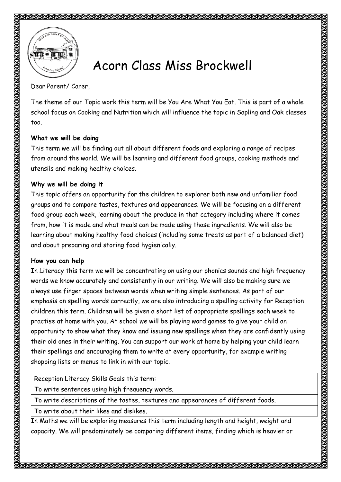

## Acorn Class Miss Brockwell

Dear Parent/ Carer,

The theme of our Topic work this term will be You Are What You Eat. This is part of a whole school focus on Cooking and Nutrition which will influence the topic in Sapling and Oak classes too.

## **What we will be doing**

This term we will be finding out all about different foods and exploring a range of recipes from around the world. We will be learning and different food groups, cooking methods and utensils and making healthy choices.

## **Why we will be doing it**

This topic offers an opportunity for the children to explorer both new and unfamiliar food groups and to compare tastes, textures and appearances. We will be focusing on a different food group each week, learning about the produce in that category including where it comes from, how it is made and what meals can be made using those ingredients. We will also be learning about making healthy food choices (including some treats as part of a balanced diet) and about preparing and storing food hygienically.

## **How you can help**

In Literacy this term we will be concentrating on using our phonics sounds and high frequency words we know accurately and consistently in our writing. We will also be making sure we always use finger spaces between words when writing simple sentences. As part of our emphasis on spelling words correctly, we are also introducing a spelling activity for Reception children this term. Children will be given a short list of appropriate spellings each week to practise at home with you. At school we will be playing word games to give your child an opportunity to show what they know and issuing new spellings when they are confidently using their old ones in their writing. You can support our work at home by helping your child learn their spellings and encouraging them to write at every opportunity, for example writing shopping lists or menus to link in with our topic.

Reception Literacy Skills Goals this term:

To write sentences using high frequency words.

To write descriptions of the tastes, textures and appearances of different foods.

To write about their likes and dislikes.

In Maths we will be exploring measures this term including length and height, weight and capacity. We will predominately be comparing different items, finding which is heavier or